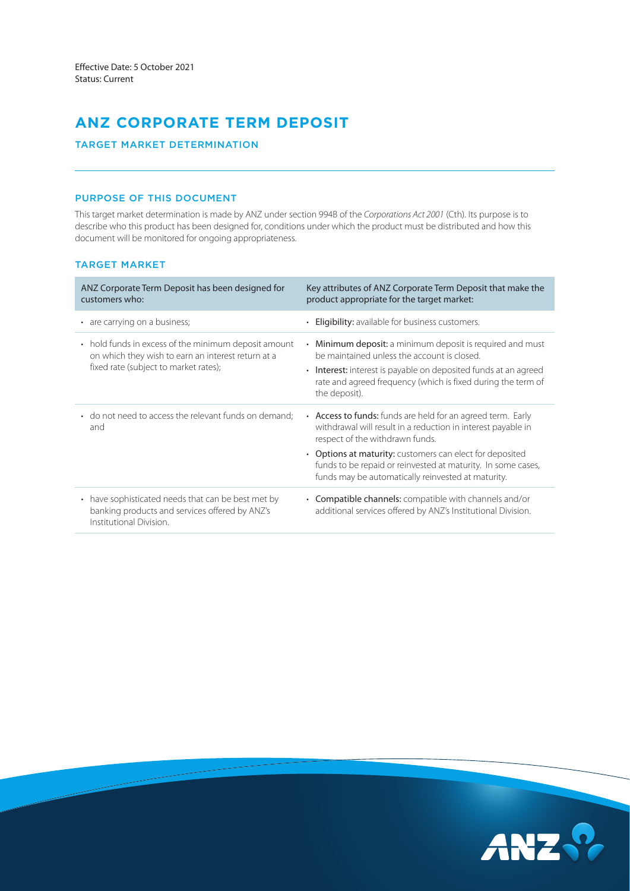# **ANZ CORPORATE TERM DEPOSIT**

# TARGET MARKET DETERMINATION

## PURPOSE OF THIS DOCUMENT

This target market determination is made by ANZ under section 994B of the *Corporations Act 2001* (Cth). Its purpose is to describe who this product has been designed for, conditions under which the product must be distributed and how this document will be monitored for ongoing appropriateness.

# TARGET MARKET

| ANZ Corporate Term Deposit has been designed for<br>customers who:                                                                                  | Key attributes of ANZ Corporate Term Deposit that make the<br>product appropriate for the target market:                                                                                                                                                                                                                                         |
|-----------------------------------------------------------------------------------------------------------------------------------------------------|--------------------------------------------------------------------------------------------------------------------------------------------------------------------------------------------------------------------------------------------------------------------------------------------------------------------------------------------------|
| • are carrying on a business;                                                                                                                       | <b>Eligibility:</b> available for business customers.                                                                                                                                                                                                                                                                                            |
| • hold funds in excess of the minimum deposit amount<br>on which they wish to earn an interest return at a<br>fixed rate (subject to market rates); | <b>Minimum deposit:</b> a minimum deposit is required and must<br>be maintained unless the account is closed.<br><b>Interest:</b> interest is payable on deposited funds at an agreed<br>$\bullet$<br>rate and agreed frequency (which is fixed during the term of<br>the deposit).                                                              |
| • do not need to access the relevant funds on demand;<br>and                                                                                        | • Access to funds: funds are held for an agreed term. Early<br>withdrawal will result in a reduction in interest payable in<br>respect of the withdrawn funds.<br>• Options at maturity: customers can elect for deposited<br>funds to be repaid or reinvested at maturity. In some cases,<br>funds may be automatically reinvested at maturity. |
| have sophisticated needs that can be best met by<br>$\bullet$<br>banking products and services offered by ANZ's<br>Institutional Division.          | • Compatible channels: compatible with channels and/or<br>additional services offered by ANZ's Institutional Division.                                                                                                                                                                                                                           |

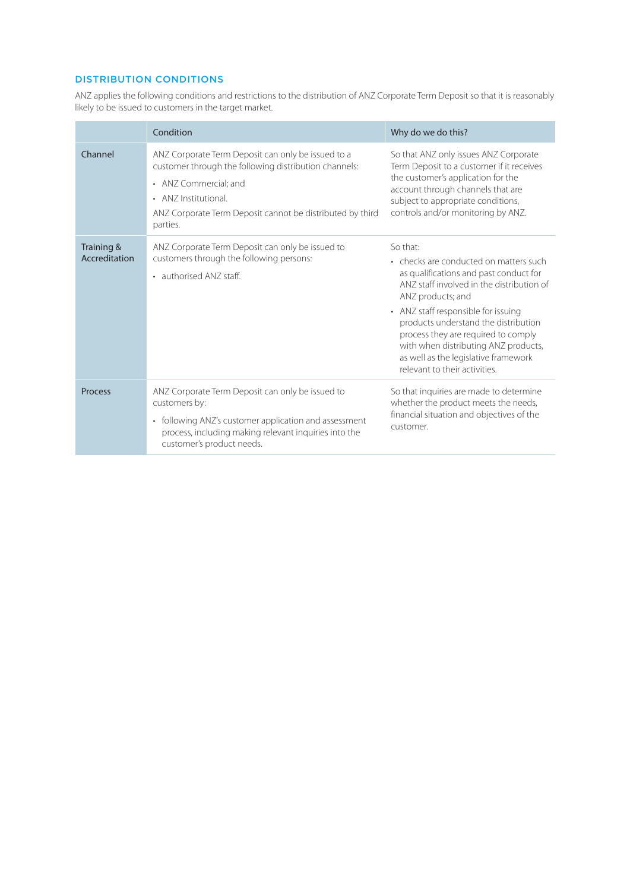# DISTRIBUTION CONDITIONS

ANZ applies the following conditions and restrictions to the distribution of ANZ Corporate Term Deposit so that it is reasonably likely to be issued to customers in the target market.

|                             | Condition                                                                                                                                                                                                                             | Why do we do this?                                                                                                                                                                                                                                                                                                                                                                                    |
|-----------------------------|---------------------------------------------------------------------------------------------------------------------------------------------------------------------------------------------------------------------------------------|-------------------------------------------------------------------------------------------------------------------------------------------------------------------------------------------------------------------------------------------------------------------------------------------------------------------------------------------------------------------------------------------------------|
| Channel                     | ANZ Corporate Term Deposit can only be issued to a<br>customer through the following distribution channels:<br>• ANZ Commercial: and<br>• ANZ Institutional.<br>ANZ Corporate Term Deposit cannot be distributed by third<br>parties. | So that ANZ only issues ANZ Corporate<br>Term Deposit to a customer if it receives<br>the customer's application for the<br>account through channels that are<br>subject to appropriate conditions,<br>controls and/or monitoring by ANZ.                                                                                                                                                             |
| Training &<br>Accreditation | ANZ Corporate Term Deposit can only be issued to<br>customers through the following persons:<br>• authorised ANZ staff.                                                                                                               | So that:<br>• checks are conducted on matters such<br>as qualifications and past conduct for<br>ANZ staff involved in the distribution of<br>ANZ products; and<br>• ANZ staff responsible for issuing<br>products understand the distribution<br>process they are required to comply<br>with when distributing ANZ products,<br>as well as the legislative framework<br>relevant to their activities. |
| <b>Process</b>              | ANZ Corporate Term Deposit can only be issued to<br>customers by:<br>following ANZ's customer application and assessment<br>$\bullet$<br>process, including making relevant inquiries into the<br>customer's product needs.           | So that inquiries are made to determine<br>whether the product meets the needs,<br>financial situation and objectives of the<br>customer.                                                                                                                                                                                                                                                             |